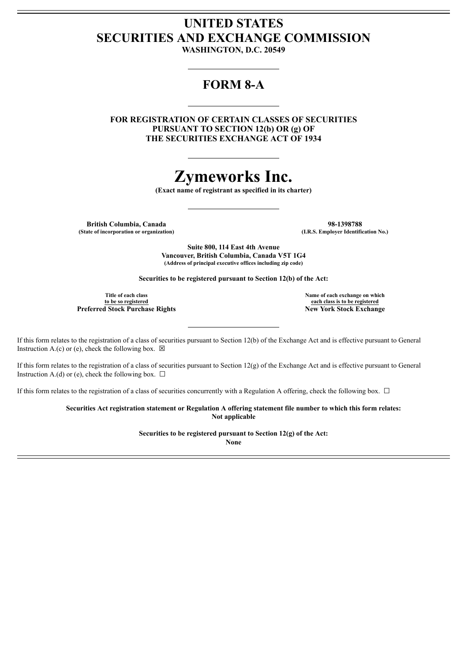## **UNITED STATES SECURITIES AND EXCHANGE COMMISSION**

**WASHINGTON, D.C. 20549**

### **FORM 8-A**

**FOR REGISTRATION OF CERTAIN CLASSES OF SECURITIES PURSUANT TO SECTION 12(b) OR (g) OF THE SECURITIES EXCHANGE ACT OF 1934**

# **Zymeworks Inc.**

**(Exact name of registrant as specified in its charter)**

**British Columbia, Canada 98-1398788 (State of incorporation or organization) (I.R.S. Employer Identification No.)**

**Suite 800, 114 East 4th Avenue Vancouver, British Columbia, Canada V5T 1G4 (Address of principal executive offices including zip code)**

**Securities to be registered pursuant to Section 12(b) of the Act:**

**Title of each class to be so registered Preferred Stock Purchase Rights New York Stock Exchange**

**Name of each exchange on which each class is to be registered**

If this form relates to the registration of a class of securities pursuant to Section 12(b) of the Exchange Act and is effective pursuant to General Instruction A.(c) or (e), check the following box.  $\boxtimes$ 

If this form relates to the registration of a class of securities pursuant to Section 12(g) of the Exchange Act and is effective pursuant to General Instruction A.(d) or (e), check the following box.  $\Box$ 

If this form relates to the registration of a class of securities concurrently with a Regulation A offering, check the following box.  $\Box$ 

**Securities Act registration statement or Regulation A offering statement file number to which this form relates: Not applicable**

**Securities to be registered pursuant to Section 12(g) of the Act:**

**None**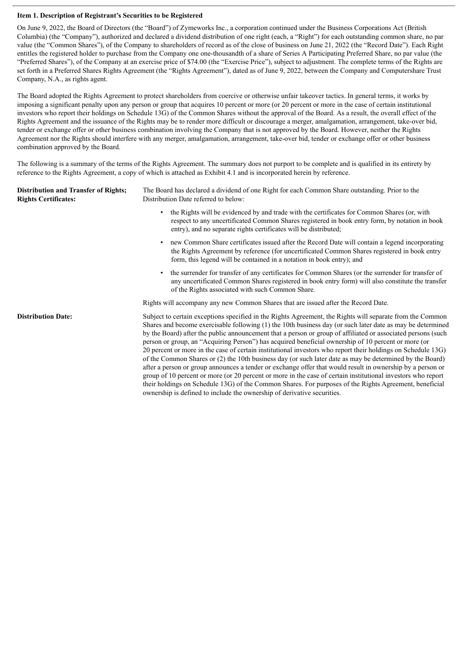#### **Item 1. Description of Registrant's Securities to be Registered**

On June 9, 2022, the Board of Directors (the "Board") of Zymeworks Inc., a corporation continued under the Business Corporations Act (British Columbia) (the "Company"), authorized and declared a dividend distribution of one right (each, a "Right") for each outstanding common share, no par value (the "Common Shares"), of the Company to shareholders of record as of the close of business on June 21, 2022 (the "Record Date"). Each Right entitles the registered holder to purchase from the Company one one-thousandth of a share of Series A Participating Preferred Share, no par value (the "Preferred Shares"), of the Company at an exercise price of \$74.00 (the "Exercise Price"), subject to adjustment. The complete terms of the Rights are set forth in a Preferred Shares Rights Agreement (the "Rights Agreement"), dated as of June 9, 2022, between the Company and Computershare Trust Company, N.A., as rights agent.

The Board adopted the Rights Agreement to protect shareholders from coercive or otherwise unfair takeover tactics. In general terms, it works by imposing a significant penalty upon any person or group that acquires 10 percent or more (or 20 percent or more in the case of certain institutional investors who report their holdings on Schedule 13G) of the Common Shares without the approval of the Board. As a result, the overall effect of the Rights Agreement and the issuance of the Rights may be to render more difficult or discourage a merger, amalgamation, arrangement, take-over bid, tender or exchange offer or other business combination involving the Company that is not approved by the Board. However, neither the Rights Agreement nor the Rights should interfere with any merger, amalgamation, arrangement, take-over bid, tender or exchange offer or other business combination approved by the Board.

The following is a summary of the terms of the Rights Agreement. The summary does not purport to be complete and is qualified in its entirety by reference to the Rights Agreement, a copy of which is attached as Exhibit 4.1 and is incorporated herein by reference.

**Distribution and Transfer of Rights; Rights Certificates:** The Board has declared a dividend of one Right for each Common Share outstanding. Prior to the Distribution Date referred to below: • the Rights will be evidenced by and trade with the certificates for Common Shares (or, with respect to any uncertificated Common Shares registered in book entry form, by notation in book entry), and no separate rights certificates will be distributed; • new Common Share certificates issued after the Record Date will contain a legend incorporating the Rights Agreement by reference (for uncertificated Common Shares registered in book entry form, this legend will be contained in a notation in book entry); and • the surrender for transfer of any certificates for Common Shares (or the surrender for transfer of any uncertificated Common Shares registered in book entry form) will also constitute the transfer of the Rights associated with such Common Share. Rights will accompany any new Common Shares that are issued after the Record Date. **Distribution Date:** Subject to certain exceptions specified in the Rights Agreement, the Rights will separate from the Common Shares and become exercisable following (1) the 10th business day (or such later date as may be determined by the Board) after the public announcement that a person or group of affiliated or associated persons (such person or group, an "Acquiring Person") has acquired beneficial ownership of 10 percent or more (or 20 percent or more in the case of certain institutional investors who report their holdings on Schedule 13G) of the Common Shares or (2) the 10th business day (or such later date as may be determined by the Board) after a person or group announces a tender or exchange offer that would result in ownership by a person or group of 10 percent or more (or 20 percent or more in the case of certain institutional investors who report their holdings on Schedule 13G) of the Common Shares. For purposes of the Rights Agreement, beneficial ownership is defined to include the ownership of derivative securities.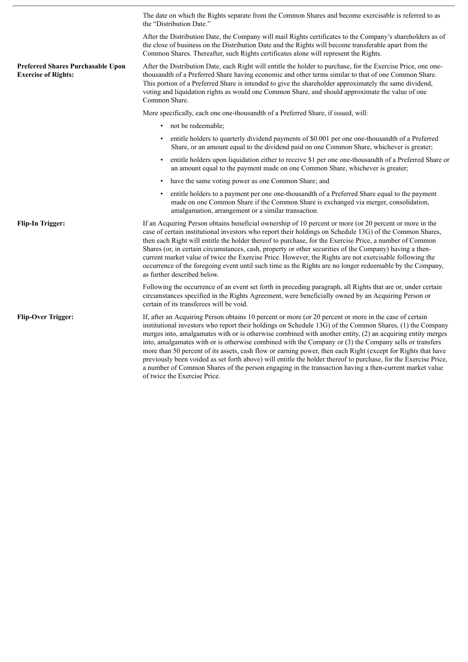The date on which the Rights separate from the Common Shares and become exercisable is referred to as the "Distribution Date." After the Distribution Date, the Company will mail Rights certificates to the Company's shareholders as of the close of business on the Distribution Date and the Rights will become transferable apart from the Common Shares. Thereafter, such Rights certificates alone will represent the Rights. **Preferred Shares Purchasable Upon Exercise of Rights:** After the Distribution Date, each Right will entitle the holder to purchase, for the Exercise Price, one onethousandth of a Preferred Share having economic and other terms similar to that of one Common Share. This portion of a Preferred Share is intended to give the shareholder approximately the same dividend, voting and liquidation rights as would one Common Share, and should approximate the value of one Common Share. More specifically, each one one-thousandth of a Preferred Share, if issued, will: • not be redeemable; • entitle holders to quarterly dividend payments of \$0.001 per one one-thousandth of a Preferred Share, or an amount equal to the dividend paid on one Common Share, whichever is greater; • entitle holders upon liquidation either to receive \$1 per one one-thousandth of a Preferred Share or an amount equal to the payment made on one Common Share, whichever is greater; have the same voting power as one Common Share; and • entitle holders to a payment per one one-thousandth of a Preferred Share equal to the payment made on one Common Share if the Common Share is exchanged via merger, consolidation, amalgamation, arrangement or a similar transaction. **Flip-In Trigger:** If an Acquiring Person obtains beneficial ownership of 10 percent or more (or 20 percent or more in the case of certain institutional investors who report their holdings on Schedule 13G) of the Common Shares, then each Right will entitle the holder thereof to purchase, for the Exercise Price, a number of Common Shares (or, in certain circumstances, cash, property or other securities of the Company) having a thencurrent market value of twice the Exercise Price. However, the Rights are not exercisable following the occurrence of the foregoing event until such time as the Rights are no longer redeemable by the Company, as further described below. Following the occurrence of an event set forth in preceding paragraph, all Rights that are or, under certain circumstances specified in the Rights Agreement, were beneficially owned by an Acquiring Person or certain of its transferees will be void. **Flip-Over Trigger:** If, after an Acquiring Person obtains 10 percent or more (or 20 percent or more in the case of certain institutional investors who report their holdings on Schedule 13G) of the Common Shares, (1) the Company merges into, amalgamates with or is otherwise combined with another entity, (2) an acquiring entity merges into, amalgamates with or is otherwise combined with the Company or (3) the Company sells or transfers more than 50 percent of its assets, cash flow or earning power, then each Right (except for Rights that have previously been voided as set forth above) will entitle the holder thereof to purchase, for the Exercise Price, a number of Common Shares of the person engaging in the transaction having a then-current market value of twice the Exercise Price.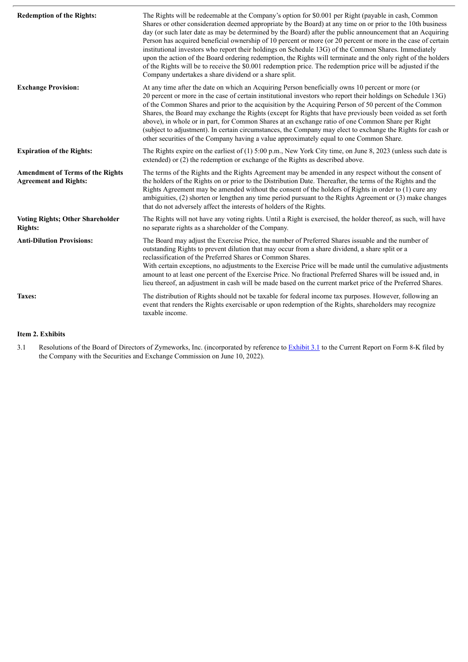| <b>Redemption of the Rights:</b>                                        | The Rights will be redeemable at the Company's option for \$0.001 per Right (payable in cash, Common<br>Shares or other consideration deemed appropriate by the Board) at any time on or prior to the 10th business<br>day (or such later date as may be determined by the Board) after the public announcement that an Acquiring<br>Person has acquired beneficial ownership of 10 percent or more (or 20 percent or more in the case of certain<br>institutional investors who report their holdings on Schedule 13G) of the Common Shares. Immediately<br>upon the action of the Board ordering redemption, the Rights will terminate and the only right of the holders<br>of the Rights will be to receive the \$0.001 redemption price. The redemption price will be adjusted if the<br>Company undertakes a share dividend or a share split. |
|-------------------------------------------------------------------------|----------------------------------------------------------------------------------------------------------------------------------------------------------------------------------------------------------------------------------------------------------------------------------------------------------------------------------------------------------------------------------------------------------------------------------------------------------------------------------------------------------------------------------------------------------------------------------------------------------------------------------------------------------------------------------------------------------------------------------------------------------------------------------------------------------------------------------------------------|
| <b>Exchange Provision:</b>                                              | At any time after the date on which an Acquiring Person beneficially owns 10 percent or more (or<br>20 percent or more in the case of certain institutional investors who report their holdings on Schedule 13G)<br>of the Common Shares and prior to the acquisition by the Acquiring Person of 50 percent of the Common<br>Shares, the Board may exchange the Rights (except for Rights that have previously been voided as set forth<br>above), in whole or in part, for Common Shares at an exchange ratio of one Common Share per Right<br>(subject to adjustment). In certain circumstances, the Company may elect to exchange the Rights for cash or<br>other securities of the Company having a value approximately equal to one Common Share.                                                                                             |
| <b>Expiration of the Rights:</b>                                        | The Rights expire on the earliest of $(1)$ 5:00 p.m., New York City time, on June 8, 2023 (unless such date is<br>extended) or (2) the redemption or exchange of the Rights as described above.                                                                                                                                                                                                                                                                                                                                                                                                                                                                                                                                                                                                                                                    |
| <b>Amendment of Terms of the Rights</b><br><b>Agreement and Rights:</b> | The terms of the Rights and the Rights Agreement may be amended in any respect without the consent of<br>the holders of the Rights on or prior to the Distribution Date. Thereafter, the terms of the Rights and the<br>Rights Agreement may be amended without the consent of the holders of Rights in order to (1) cure any<br>ambiguities, (2) shorten or lengthen any time period pursuant to the Rights Agreement or (3) make changes<br>that do not adversely affect the interests of holders of the Rights.                                                                                                                                                                                                                                                                                                                                 |
| <b>Voting Rights; Other Shareholder</b><br><b>Rights:</b>               | The Rights will not have any voting rights. Until a Right is exercised, the holder thereof, as such, will have<br>no separate rights as a shareholder of the Company.                                                                                                                                                                                                                                                                                                                                                                                                                                                                                                                                                                                                                                                                              |
| <b>Anti-Dilution Provisions:</b>                                        | The Board may adjust the Exercise Price, the number of Preferred Shares issuable and the number of<br>outstanding Rights to prevent dilution that may occur from a share dividend, a share split or a<br>reclassification of the Preferred Shares or Common Shares.<br>With certain exceptions, no adjustments to the Exercise Price will be made until the cumulative adjustments<br>amount to at least one percent of the Exercise Price. No fractional Preferred Shares will be issued and, in<br>lieu thereof, an adjustment in cash will be made based on the current market price of the Preferred Shares.                                                                                                                                                                                                                                   |
| Taxes:                                                                  | The distribution of Rights should not be taxable for federal income tax purposes. However, following an<br>event that renders the Rights exercisable or upon redemption of the Rights, shareholders may recognize<br>taxable income.                                                                                                                                                                                                                                                                                                                                                                                                                                                                                                                                                                                                               |

#### **Item 2. Exhibits**

3.1 Resolutions of the Board of Directors of Zymeworks, Inc. (incorporated by reference to **[Exhibit](http://www.sec.gov/Archives/edgar/data/1403752/000119312522172083/d319186dex41.htm#EXA) 3.1** to the Current Report on Form 8-K filed by the Company with the Securities and Exchange Commission on June 10, 2022).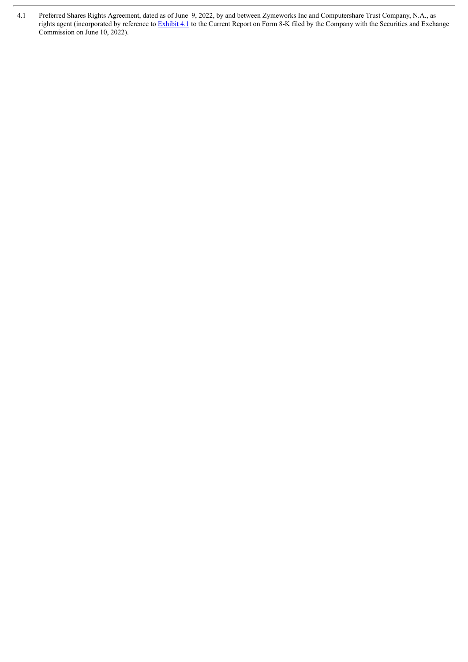4.1 Preferred Shares Rights Agreement, dated as of June 9, 2022, by and between Zymeworks Inc and Computershare Trust Company, N.A., as rights agent (incorporated by reference to **[Exhibit](http://www.sec.gov/Archives/edgar/data/1403752/000119312522172083/d319186dex41.htm) 4.1** to the Current Report on Form 8-K filed by the Company with the Securities and Exchange Commission on June 10, 2022).